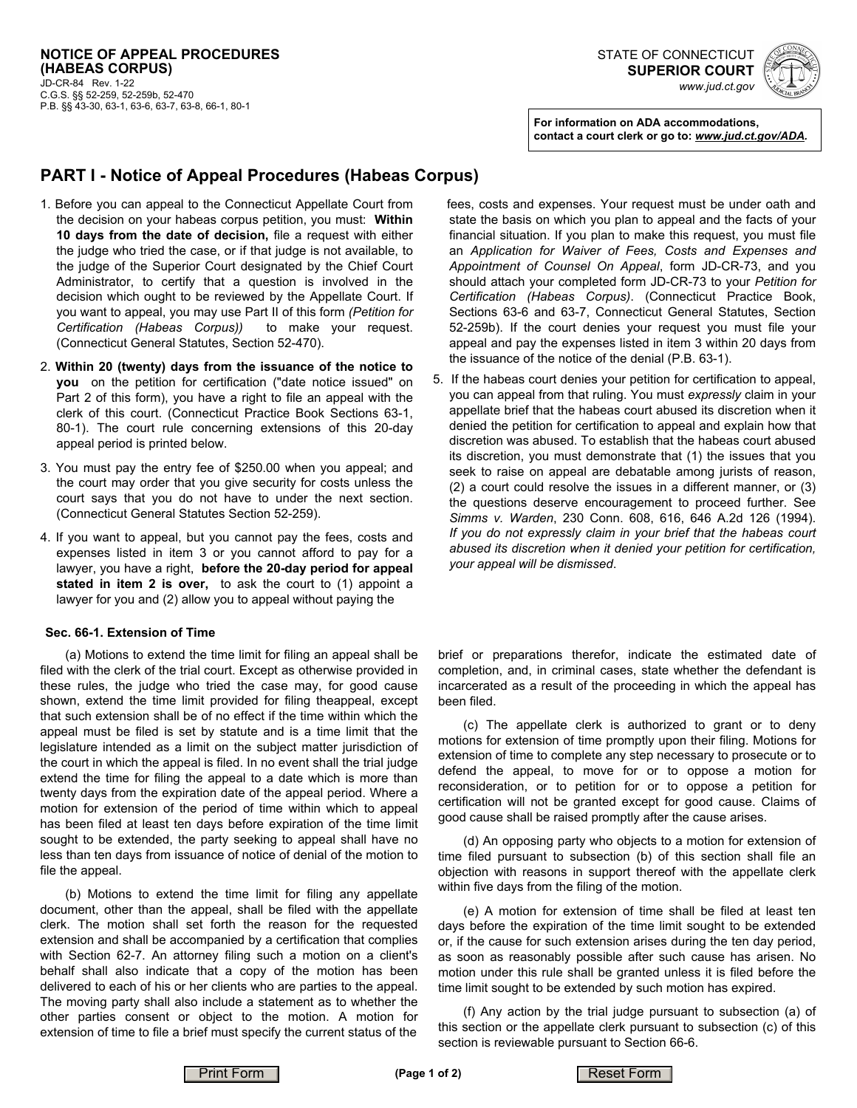



**For information on ADA accommodations, contact a court clerk or go to:** *www.jud.ct.gov/ADA.*

## **PART I - Notice of Appeal Procedures (Habeas Corpus)**

- 1. Before you can appeal to the Connecticut Appellate Court from the decision on your habeas corpus petition, you must: **Within 10 days from the date of decision,** file a request with either the judge who tried the case, or if that judge is not available, to the judge of the Superior Court designated by the Chief Court Administrator, to certify that a question is involved in the decision which ought to be reviewed by the Appellate Court. If you want to appeal, you may use Part II of this form *(Petition for Certification (Habeas Corpus))* to make your request. (Connecticut General Statutes, Section 52-470).
- 2. **Within 20 (twenty) days from the issuance of the notice to you** on the petition for certification ("date notice issued" on Part 2 of this form), you have a right to file an appeal with the clerk of this court. (Connecticut Practice Book Sections 63-1, 80-1). The court rule concerning extensions of this 20-day appeal period is printed below.
- 3. You must pay the entry fee of \$250.00 when you appeal; and the court may order that you give security for costs unless the court says that you do not have to under the next section. (Connecticut General Statutes Section 52-259).
- 4. If you want to appeal, but you cannot pay the fees, costs and expenses listed in item 3 or you cannot afford to pay for a lawyer, you have a right, **before the 20-day period for appeal stated in item 2 is over,** to ask the court to (1) appoint a lawyer for you and (2) allow you to appeal without paying the

#### **Sec. 66-1. Extension of Time**

(a) Motions to extend the time limit for filing an appeal shall be filed with the clerk of the trial court. Except as otherwise provided in these rules, the judge who tried the case may, for good cause shown, extend the time limit provided for filing theappeal, except that such extension shall be of no effect if the time within which the appeal must be filed is set by statute and is a time limit that the legislature intended as a limit on the subject matter jurisdiction of the court in which the appeal is filed. In no event shall the trial judge extend the time for filing the appeal to a date which is more than twenty days from the expiration date of the appeal period. Where a motion for extension of the period of time within which to appeal has been filed at least ten days before expiration of the time limit sought to be extended, the party seeking to appeal shall have no less than ten days from issuance of notice of denial of the motion to file the appeal.

(b) Motions to extend the time limit for filing any appellate document, other than the appeal, shall be filed with the appellate clerk. The motion shall set forth the reason for the requested extension and shall be accompanied by a certification that complies with Section 62-7. An attorney filing such a motion on a client's behalf shall also indicate that a copy of the motion has been delivered to each of his or her clients who are parties to the appeal. The moving party shall also include a statement as to whether the other parties consent or object to the motion. A motion for extension of time to file a brief must specify the current status of the fees, costs and expenses. Your request must be under oath and state the basis on which you plan to appeal and the facts of your financial situation. If you plan to make this request, you must file an *Application for Waiver of Fees, Costs and Expenses and Appointment of Counsel On Appeal*, form JD-CR-73, and you should attach your completed form JD-CR-73 to your *Petition for Certification (Habeas Corpus)*. (Connecticut Practice Book, Sections 63-6 and 63-7, Connecticut General Statutes, Section 52-259b). If the court denies your request you must file your appeal and pay the expenses listed in item 3 within 20 days from the issuance of the notice of the denial (P.B. 63-1).

5. If the habeas court denies your petition for certification to appeal, you can appeal from that ruling. You must *expressly* claim in your appellate brief that the habeas court abused its discretion when it denied the petition for certification to appeal and explain how that discretion was abused. To establish that the habeas court abused its discretion, you must demonstrate that (1) the issues that you seek to raise on appeal are debatable among jurists of reason, (2) a court could resolve the issues in a different manner, or (3) the questions deserve encouragement to proceed further. See *Simms v. Warden*, 230 Conn. 608, 616, 646 A.2d 126 (1994). *If you do not expressly claim in your brief that the habeas court abused its discretion when it denied your petition for certification, your appeal will be dismissed*.

brief or preparations therefor, indicate the estimated date of completion, and, in criminal cases, state whether the defendant is incarcerated as a result of the proceeding in which the appeal has been filed.

(c) The appellate clerk is authorized to grant or to deny motions for extension of time promptly upon their filing. Motions for extension of time to complete any step necessary to prosecute or to defend the appeal, to move for or to oppose a motion for reconsideration, or to petition for or to oppose a petition for certification will not be granted except for good cause. Claims of good cause shall be raised promptly after the cause arises.

(d) An opposing party who objects to a motion for extension of time filed pursuant to subsection (b) of this section shall file an objection with reasons in support thereof with the appellate clerk within five days from the filing of the motion.

(e) A motion for extension of time shall be filed at least ten days before the expiration of the time limit sought to be extended or, if the cause for such extension arises during the ten day period, as soon as reasonably possible after such cause has arisen. No motion under this rule shall be granted unless it is filed before the time limit sought to be extended by such motion has expired.

(f) Any action by the trial judge pursuant to subsection (a) of this section or the appellate clerk pursuant to subsection (c) of this section is reviewable pursuant to Section 66-6.